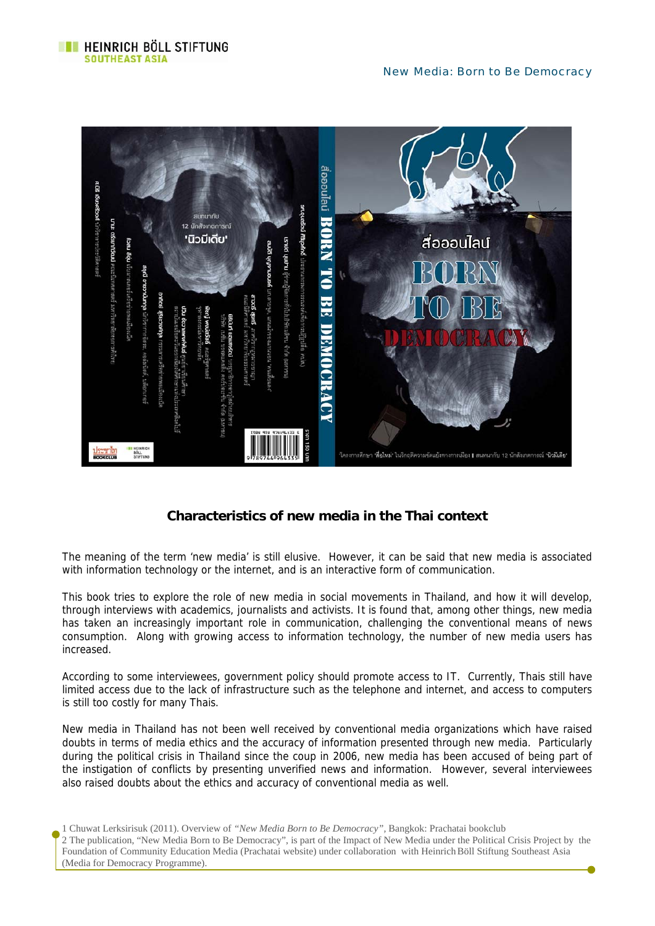

# **Characteristics of new media in the Thai context**

The meaning of the term 'new media' is still elusive. However, it can be said that new media is associated with information technology or the internet, and is an interactive form of communication.

This book tries to explore the role of new media in social movements in Thailand, and how it will develop, through interviews with academics, journalists and activists. It is found that, among other things, new media has taken an increasingly important role in communication, challenging the conventional means of news consumption. Along with growing access to information technology, the number of new media users has increased.

According to some interviewees, government policy should promote access to IT. Currently, Thais still have limited access due to the lack of infrastructure such as the telephone and internet, and access to computers is still too costly for many Thais.

New media in Thailand has not been well received by conventional media organizations which have raised doubts in terms of media ethics and the accuracy of information presented through new media. Particularly during the political crisis in Thailand since the coup in 2006, new media has been accused of being part of the instigation of conflicts by presenting unverified news and information. However, several interviewees also raised doubts about the ethics and accuracy of conventional media as well.

1 Chuwat Lerksirisuk (2011). Overview of *"New Media Born to Be Democracy",* Bangkok: Prachatai bookclub 2 The publication, "New Media Born to Be Democracy", is part of the Impact of New Media under the Political Crisis Project by the Foundation of Community Education Media (Prachatai website) under collaboration with HeinrichBöll Stiftung Southeast Asia (Media for Democracy Programme).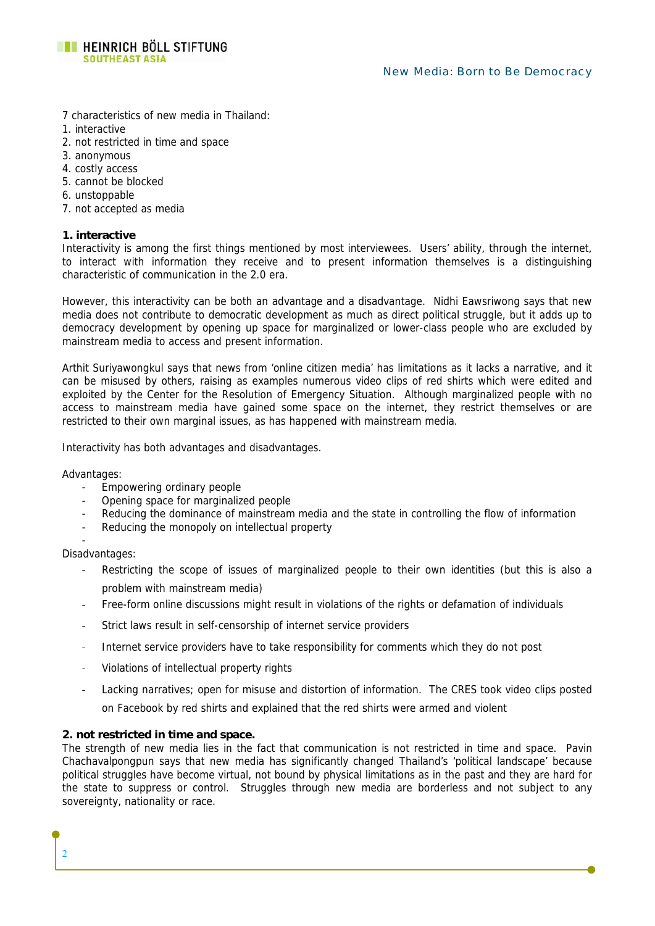

- 7 characteristics of new media in Thailand:
- 1. interactive
- 2. not restricted in time and space
- 3. anonymous
- 4. costly access
- 5. cannot be blocked
- 6. unstoppable
- 7. not accepted as media

### **1. interactive**

Interactivity is among the first things mentioned by most interviewees. Users' ability, through the internet, to interact with information they receive and to present information themselves is a distinguishing characteristic of communication in the 2.0 era.

However, this interactivity can be both an advantage and a disadvantage. Nidhi Eawsriwong says that new media does not contribute to democratic development as much as direct political struggle, but it adds up to democracy development by opening up space for marginalized or lower-class people who are excluded by mainstream media to access and present information.

Arthit Suriyawongkul says that news from 'online citizen media' has limitations as it lacks a narrative, and it can be misused by others, raising as examples numerous video clips of red shirts which were edited and exploited by the Center for the Resolution of Emergency Situation. Although marginalized people with no access to mainstream media have gained some space on the internet, they restrict themselves or are restricted to their own marginal issues, as has happened with mainstream media.

Interactivity has both advantages and disadvantages.

Advantages:

- Empowering ordinary people
- Opening space for marginalized people
- Reducing the dominance of mainstream media and the state in controlling the flow of information
- Reducing the monopoly on intellectual property

Disadvantages:

-

2

- Restricting the scope of issues of marginalized people to their own identities (but this is also a problem with mainstream media)
- Free-form online discussions might result in violations of the rights or defamation of individuals
- Strict laws result in self-censorship of internet service providers
- Internet service providers have to take responsibility for comments which they do not post
- Violations of intellectual property rights
- Lacking narratives; open for misuse and distortion of information. The CRES took video clips posted on Facebook by red shirts and explained that the red shirts were armed and violent

# **2. not restricted in time and space.**

The strength of new media lies in the fact that communication is not restricted in time and space. Pavin Chachavalpongpun says that new media has significantly changed Thailand's 'political landscape' because political struggles have become virtual, not bound by physical limitations as in the past and they are hard for the state to suppress or control. Struggles through new media are borderless and not subject to any sovereignty, nationality or race.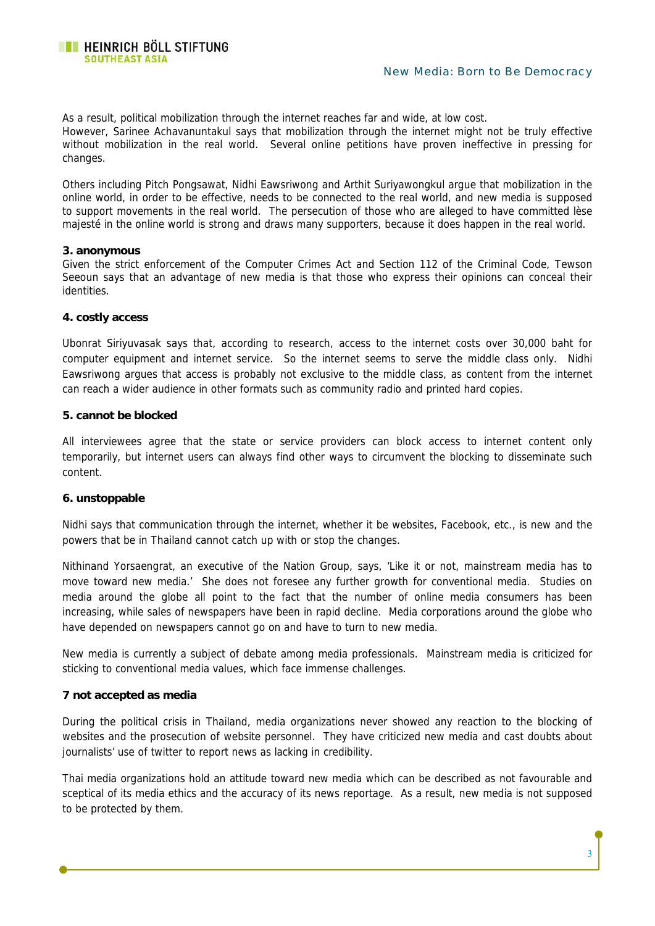As a result, political mobilization through the internet reaches far and wide, at low cost. However, Sarinee Achavanuntakul says that mobilization through the internet might not be truly effective without mobilization in the real world. Several online petitions have proven ineffective in pressing for changes.

Others including Pitch Pongsawat, Nidhi Eawsriwong and Arthit Suriyawongkul argue that mobilization in the online world, in order to be effective, needs to be connected to the real world, and new media is supposed to support movements in the real world. The persecution of those who are alleged to have committed lèse majesté in the online world is strong and draws many supporters, because it does happen in the real world.

### **3. anonymous**

Given the strict enforcement of the Computer Crimes Act and Section 112 of the Criminal Code, Tewson Seeoun says that an advantage of new media is that those who express their opinions can conceal their identities.

### **4. costly access**

Ubonrat Siriyuvasak says that, according to research, access to the internet costs over 30,000 baht for computer equipment and internet service. So the internet seems to serve the middle class only. Nidhi Eawsriwong argues that access is probably not exclusive to the middle class, as content from the internet can reach a wider audience in other formats such as community radio and printed hard copies.

### **5. cannot be blocked**

All interviewees agree that the state or service providers can block access to internet content only temporarily, but internet users can always find other ways to circumvent the blocking to disseminate such content.

# **6. unstoppable**

Nidhi says that communication through the internet, whether it be websites, Facebook, etc., is new and the powers that be in Thailand cannot catch up with or stop the changes.

Nithinand Yorsaengrat, an executive of the Nation Group, says, 'Like it or not, mainstream media has to move toward new media.' She does not foresee any further growth for conventional media. Studies on media around the globe all point to the fact that the number of online media consumers has been increasing, while sales of newspapers have been in rapid decline. Media corporations around the globe who have depended on newspapers cannot go on and have to turn to new media.

New media is currently a subject of debate among media professionals. Mainstream media is criticized for sticking to conventional media values, which face immense challenges.

# **7 not accepted as media**

During the political crisis in Thailand, media organizations never showed any reaction to the blocking of websites and the prosecution of website personnel. They have criticized new media and cast doubts about journalists' use of twitter to report news as lacking in credibility.

Thai media organizations hold an attitude toward new media which can be described as not favourable and sceptical of its media ethics and the accuracy of its news reportage. As a result, new media is not supposed to be protected by them.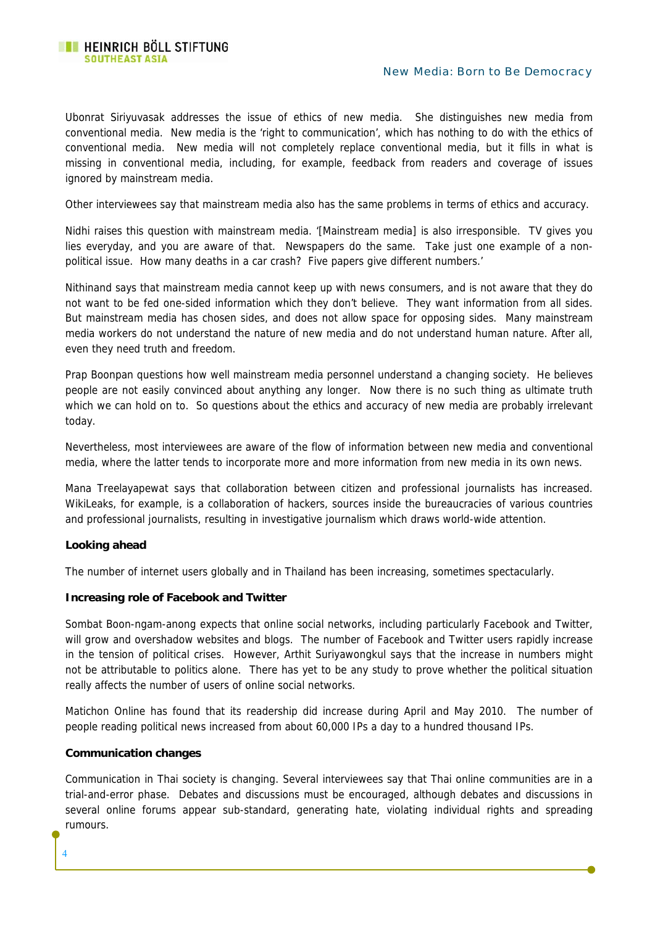### New Media: Born to Be Democracy

Ubonrat Siriyuvasak addresses the issue of ethics of new media. She distinguishes new media from conventional media. New media is the 'right to communication', which has nothing to do with the ethics of conventional media. New media will not completely replace conventional media, but it fills in what is missing in conventional media, including, for example, feedback from readers and coverage of issues ignored by mainstream media.

Other interviewees say that mainstream media also has the same problems in terms of ethics and accuracy.

Nidhi raises this question with mainstream media. '[Mainstream media] is also irresponsible. TV gives you lies everyday, and you are aware of that. Newspapers do the same. Take just one example of a nonpolitical issue. How many deaths in a car crash? Five papers give different numbers.'

Nithinand says that mainstream media cannot keep up with news consumers, and is not aware that they do not want to be fed one-sided information which they don't believe. They want information from all sides. But mainstream media has chosen sides, and does not allow space for opposing sides. Many mainstream media workers do not understand the nature of new media and do not understand human nature. After all, even they need truth and freedom.

Prap Boonpan questions how well mainstream media personnel understand a changing society. He believes people are not easily convinced about anything any longer. Now there is no such thing as ultimate truth which we can hold on to. So questions about the ethics and accuracy of new media are probably irrelevant today.

Nevertheless, most interviewees are aware of the flow of information between new media and conventional media, where the latter tends to incorporate more and more information from new media in its own news.

Mana Treelayapewat says that collaboration between citizen and professional journalists has increased. WikiLeaks, for example, is a collaboration of hackers, sources inside the bureaucracies of various countries and professional journalists, resulting in investigative journalism which draws world-wide attention.

#### **Looking ahead**

The number of internet users globally and in Thailand has been increasing, sometimes spectacularly.

#### **Increasing role of Facebook and Twitter**

Sombat Boon-ngam-anong expects that online social networks, including particularly Facebook and Twitter, will grow and overshadow websites and blogs. The number of Facebook and Twitter users rapidly increase in the tension of political crises. However, Arthit Suriyawongkul says that the increase in numbers might not be attributable to politics alone. There has yet to be any study to prove whether the political situation really affects the number of users of online social networks.

Matichon Online has found that its readership did increase during April and May 2010. The number of people reading political news increased from about 60,000 IPs a day to a hundred thousand IPs.

#### **Communication changes**

4

Communication in Thai society is changing. Several interviewees say that Thai online communities are in a trial-and-error phase. Debates and discussions must be encouraged, although debates and discussions in several online forums appear sub-standard, generating hate, violating individual rights and spreading rumours.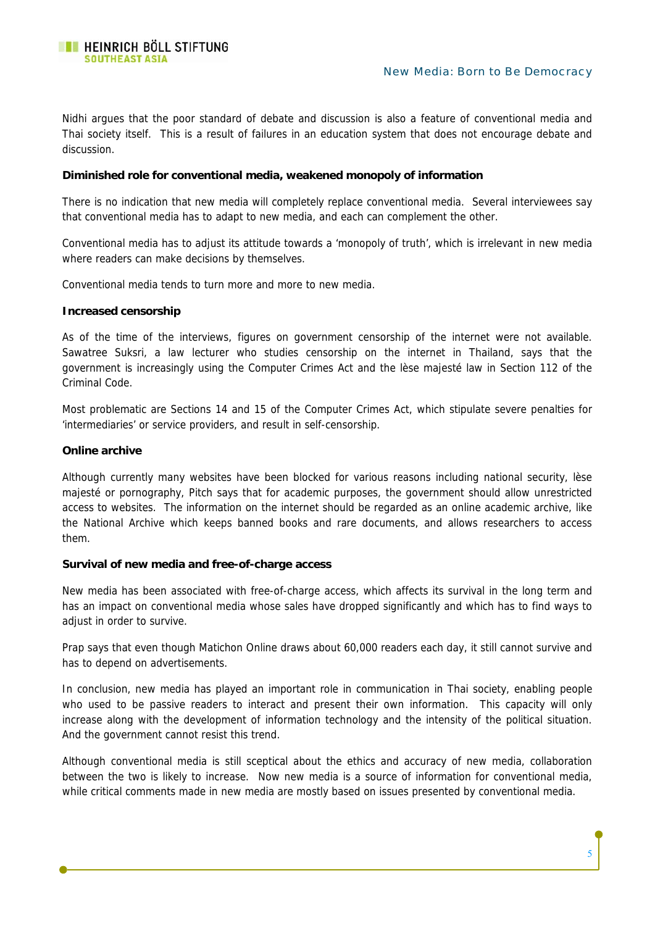Nidhi argues that the poor standard of debate and discussion is also a feature of conventional media and Thai society itself. This is a result of failures in an education system that does not encourage debate and discussion.

### **Diminished role for conventional media, weakened monopoly of information**

There is no indication that new media will completely replace conventional media. Several interviewees say that conventional media has to adapt to new media, and each can complement the other.

Conventional media has to adjust its attitude towards a 'monopoly of truth', which is irrelevant in new media where readers can make decisions by themselves.

Conventional media tends to turn more and more to new media.

### **Increased censorship**

As of the time of the interviews, figures on government censorship of the internet were not available. Sawatree Suksri, a law lecturer who studies censorship on the internet in Thailand, says that the government is increasingly using the Computer Crimes Act and the lèse majesté law in Section 112 of the Criminal Code.

Most problematic are Sections 14 and 15 of the Computer Crimes Act, which stipulate severe penalties for 'intermediaries' or service providers, and result in self-censorship.

### **Online archive**

Although currently many websites have been blocked for various reasons including national security, lèse majesté or pornography, Pitch says that for academic purposes, the government should allow unrestricted access to websites. The information on the internet should be regarded as an online academic archive, like the National Archive which keeps banned books and rare documents, and allows researchers to access them.

#### **Survival of new media and free-of-charge access**

New media has been associated with free-of-charge access, which affects its survival in the long term and has an impact on conventional media whose sales have dropped significantly and which has to find ways to adjust in order to survive.

Prap says that even though Matichon Online draws about 60,000 readers each day, it still cannot survive and has to depend on advertisements.

In conclusion, new media has played an important role in communication in Thai society, enabling people who used to be passive readers to interact and present their own information. This capacity will only increase along with the development of information technology and the intensity of the political situation. And the government cannot resist this trend.

Although conventional media is still sceptical about the ethics and accuracy of new media, collaboration between the two is likely to increase. Now new media is a source of information for conventional media, while critical comments made in new media are mostly based on issues presented by conventional media.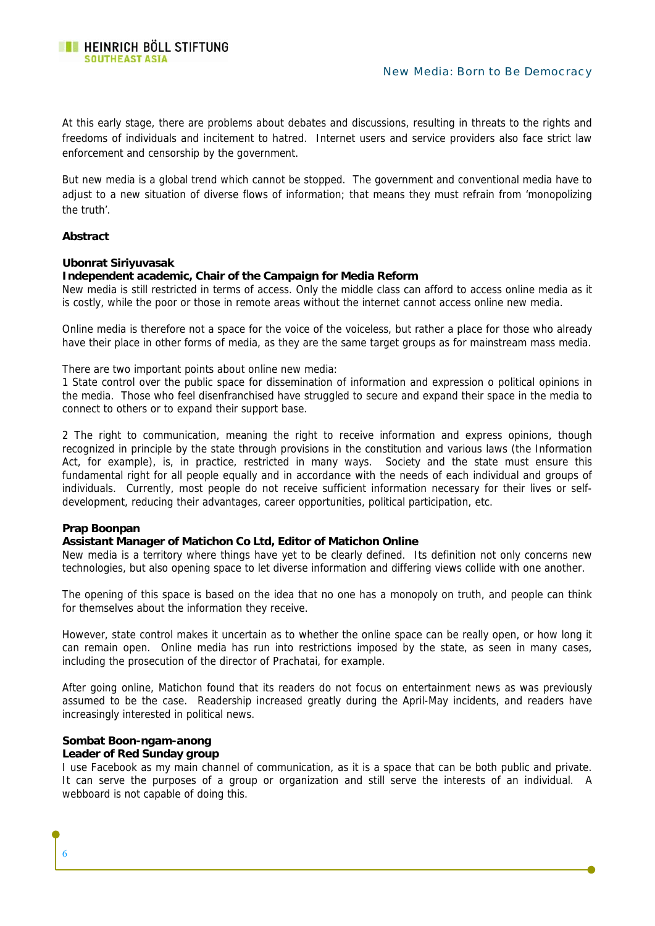At this early stage, there are problems about debates and discussions, resulting in threats to the rights and freedoms of individuals and incitement to hatred. Internet users and service providers also face strict law enforcement and censorship by the government.

But new media is a global trend which cannot be stopped. The government and conventional media have to adjust to a new situation of diverse flows of information; that means they must refrain from 'monopolizing the truth'.

#### **Abstract**

#### **Ubonrat Siriyuvasak**

#### **Independent academic, Chair of the Campaign for Media Reform**

New media is still restricted in terms of access. Only the middle class can afford to access online media as it is costly, while the poor or those in remote areas without the internet cannot access online new media.

Online media is therefore not a space for the voice of the voiceless, but rather a place for those who already have their place in other forms of media, as they are the same target groups as for mainstream mass media.

There are two important points about online new media:

1 State control over the public space for dissemination of information and expression o political opinions in the media. Those who feel disenfranchised have struggled to secure and expand their space in the media to connect to others or to expand their support base.

2 The right to communication, meaning the right to receive information and express opinions, though recognized in principle by the state through provisions in the constitution and various laws (the Information Act, for example), is, in practice, restricted in many ways. Society and the state must ensure this fundamental right for all people equally and in accordance with the needs of each individual and groups of individuals. Currently, most people do not receive sufficient information necessary for their lives or selfdevelopment, reducing their advantages, career opportunities, political participation, etc.

### **Prap Boonpan**

#### **Assistant Manager of Matichon Co Ltd, Editor of Matichon Online**

New media is a territory where things have yet to be clearly defined. Its definition not only concerns new technologies, but also opening space to let diverse information and differing views collide with one another.

The opening of this space is based on the idea that no one has a monopoly on truth, and people can think for themselves about the information they receive.

However, state control makes it uncertain as to whether the online space can be really open, or how long it can remain open. Online media has run into restrictions imposed by the state, as seen in many cases, including the prosecution of the director of Prachatai, for example.

After going online, Matichon found that its readers do not focus on entertainment news as was previously assumed to be the case. Readership increased greatly during the April-May incidents, and readers have increasingly interested in political news.

# **Sombat Boon-ngam-anong**

#### **Leader of Red Sunday group**

6

I use Facebook as my main channel of communication, as it is a space that can be both public and private. It can serve the purposes of a group or organization and still serve the interests of an individual. A webboard is not capable of doing this.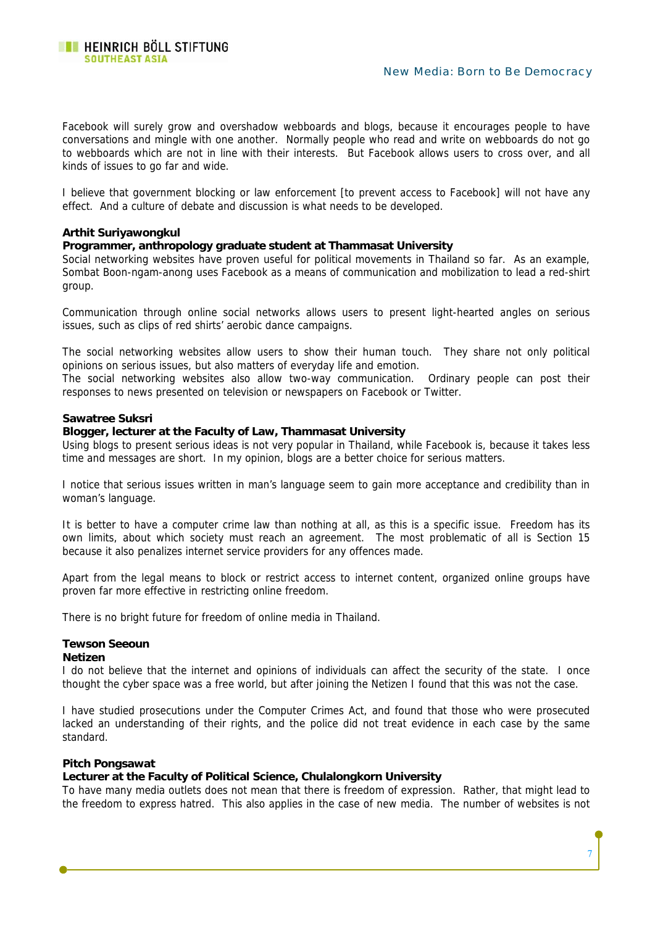#### New Media: Born to Be Democracy

Facebook will surely grow and overshadow webboards and blogs, because it encourages people to have conversations and mingle with one another. Normally people who read and write on webboards do not go to webboards which are not in line with their interests. But Facebook allows users to cross over, and all kinds of issues to go far and wide.

I believe that government blocking or law enforcement [to prevent access to Facebook] will not have any effect. And a culture of debate and discussion is what needs to be developed.

#### **Arthit Suriyawongkul**

#### **Programmer, anthropology graduate student at Thammasat University**

Social networking websites have proven useful for political movements in Thailand so far. As an example, Sombat Boon-ngam-anong uses Facebook as a means of communication and mobilization to lead a red-shirt group.

Communication through online social networks allows users to present light-hearted angles on serious issues, such as clips of red shirts' aerobic dance campaigns.

The social networking websites allow users to show their human touch. They share not only political opinions on serious issues, but also matters of everyday life and emotion.

The social networking websites also allow two-way communication. Ordinary people can post their responses to news presented on television or newspapers on Facebook or Twitter.

#### **Sawatree Suksri**

#### **Blogger, lecturer at the Faculty of Law, Thammasat University**

Using blogs to present serious ideas is not very popular in Thailand, while Facebook is, because it takes less time and messages are short. In my opinion, blogs are a better choice for serious matters.

I notice that serious issues written in man's language seem to gain more acceptance and credibility than in woman's language.

It is better to have a computer crime law than nothing at all, as this is a specific issue. Freedom has its own limits, about which society must reach an agreement. The most problematic of all is Section 15 because it also penalizes internet service providers for any offences made.

Apart from the legal means to block or restrict access to internet content, organized online groups have proven far more effective in restricting online freedom.

There is no bright future for freedom of online media in Thailand.

# **Tewson Seeoun**

#### **Netizen**

I do not believe that the internet and opinions of individuals can affect the security of the state. I once thought the cyber space was a free world, but after joining the Netizen I found that this was not the case.

I have studied prosecutions under the Computer Crimes Act, and found that those who were prosecuted lacked an understanding of their rights, and the police did not treat evidence in each case by the same standard.

#### **Pitch Pongsawat**

#### **Lecturer at the Faculty of Political Science, Chulalongkorn University**

To have many media outlets does not mean that there is freedom of expression. Rather, that might lead to the freedom to express hatred. This also applies in the case of new media. The number of websites is not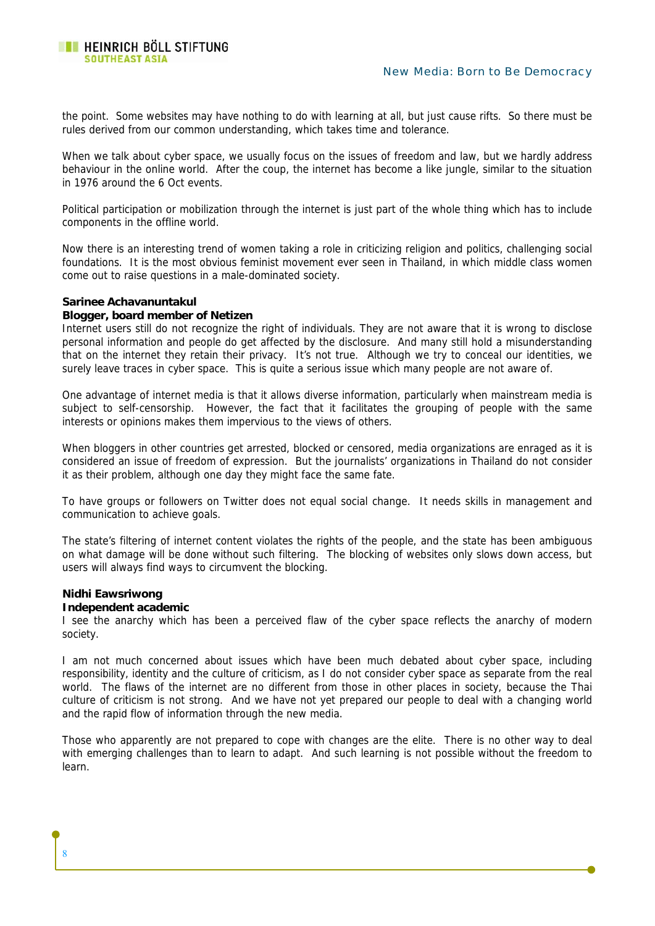the point. Some websites may have nothing to do with learning at all, but just cause rifts. So there must be rules derived from our common understanding, which takes time and tolerance.

When we talk about cyber space, we usually focus on the issues of freedom and law, but we hardly address behaviour in the online world. After the coup, the internet has become a like jungle, similar to the situation in 1976 around the 6 Oct events.

Political participation or mobilization through the internet is just part of the whole thing which has to include components in the offline world.

Now there is an interesting trend of women taking a role in criticizing religion and politics, challenging social foundations. It is the most obvious feminist movement ever seen in Thailand, in which middle class women come out to raise questions in a male-dominated society.

#### **Sarinee Achavanuntakul**

### **Blogger, board member of Netizen**

Internet users still do not recognize the right of individuals. They are not aware that it is wrong to disclose personal information and people do get affected by the disclosure. And many still hold a misunderstanding that on the internet they retain their privacy. It's not true. Although we try to conceal our identities, we surely leave traces in cyber space. This is quite a serious issue which many people are not aware of.

One advantage of internet media is that it allows diverse information, particularly when mainstream media is subject to self-censorship. However, the fact that it facilitates the grouping of people with the same interests or opinions makes them impervious to the views of others.

When bloggers in other countries get arrested, blocked or censored, media organizations are enraged as it is considered an issue of freedom of expression. But the journalists' organizations in Thailand do not consider it as their problem, although one day they might face the same fate.

To have groups or followers on Twitter does not equal social change. It needs skills in management and communication to achieve goals.

The state's filtering of internet content violates the rights of the people, and the state has been ambiguous on what damage will be done without such filtering. The blocking of websites only slows down access, but users will always find ways to circumvent the blocking.

# **Nidhi Eawsriwong**

8

#### **Independent academic**

I see the anarchy which has been a perceived flaw of the cyber space reflects the anarchy of modern society.

I am not much concerned about issues which have been much debated about cyber space, including responsibility, identity and the culture of criticism, as I do not consider cyber space as separate from the real world. The flaws of the internet are no different from those in other places in society, because the Thai culture of criticism is not strong. And we have not yet prepared our people to deal with a changing world and the rapid flow of information through the new media.

Those who apparently are not prepared to cope with changes are the elite. There is no other way to deal with emerging challenges than to learn to adapt. And such learning is not possible without the freedom to learn.